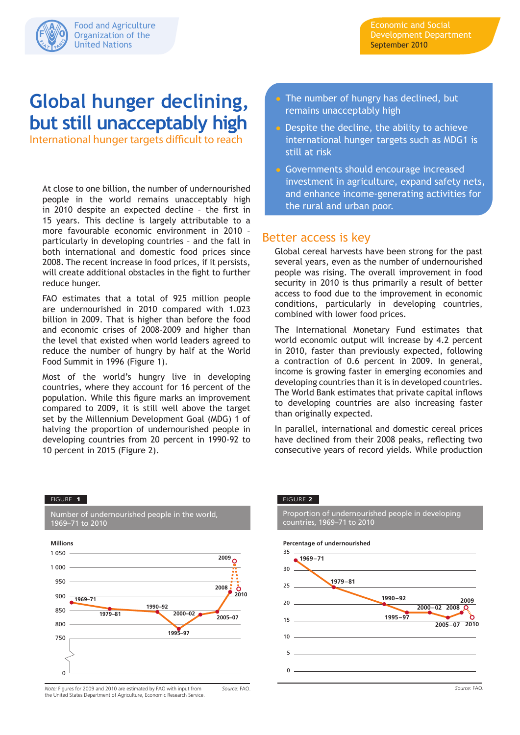

# **Global hunger declining, but still unacceptably high**

International hunger targets difficult to reach

At close to one billion, the number of undernourished people in the world remains unacceptably high in 2010 despite an expected decline – the first in 15 years. This decline is largely attributable to a more favourable economic environment in 2010 – particularly in developing countries – and the fall in both international and domestic food prices since 2008. The recent increase in food prices, if it persists, will create additional obstacles in the fight to further reduce hunger.

FAO estimates that a total of 925 million people are undernourished in 2010 compared with 1.023 billion in 2009. That is higher than before the food and economic crises of 2008-2009 and higher than the level that existed when world leaders agreed to reduce the number of hungry by half at the World Food Summit in 1996 (Figure 1).

Most of the world's hungry live in developing countries, where they account for 16 percent of the population. While this figure marks an improvement compared to 2009, it is still well above the target set by the Millennium Development Goal (MDG) 1 of halving the proportion of undernourished people in developing countries from 20 percent in 1990-92 to 10 percent in 2015 (Figure 2).

- **The number of hungry has declined, but** remains unacceptably high
- Despite the decline, the ability to achieve international hunger targets such as MDG1 is still at risk
- Governments should encourage increased investment in agriculture, expand safety nets, and enhance income-generating activities for the rural and urban poor.

## Better access is key

Global cereal harvests have been strong for the past several years, even as the number of undernourished people was rising. The overall improvement in food security in 2010 is thus primarily a result of better access to food due to the improvement in economic conditions, particularly in developing countries, combined with lower food prices.

The International Monetary Fund estimates that world economic output will increase by 4.2 percent in 2010, faster than previously expected, following a contraction of 0.6 percent in 2009. In general, income is growing faster in emerging economies and developing countries than it is in developed countries. The World Bank estimates that private capital inflows to developing countries are also increasing faster than originally expected.

In parallel, international and domestic cereal prices have declined from their 2008 peaks, reflecting two consecutive years of record yields. While production

#### FIGURE 1

Number of undernourished people in the world, 1969–71 to 2010



#### *Note:* Figures for 2009 and 2010 are estimated by FAO with input from the United States Department of Agriculture, Economic Research Service. *Source:* FAO.

FIGURE **2**

Proportion of undernourished people in developing countries, 1969–71 to 2010